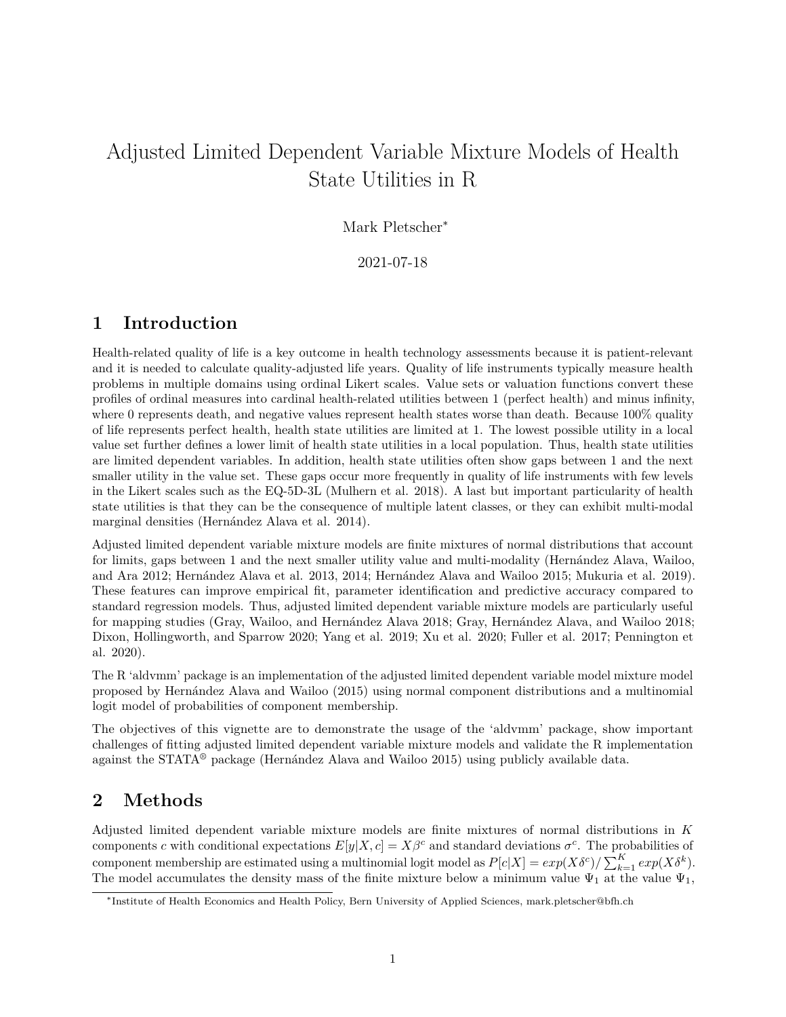# Adjusted Limited Dependent Variable Mixture Models of Health State Utilities in R

### Mark Pletscher<sup>∗</sup>

2021-07-18

### **1 Introduction**

Health-related quality of life is a key outcome in health technology assessments because it is patient-relevant and it is needed to calculate quality-adjusted life years. Quality of life instruments typically measure health problems in multiple domains using ordinal Likert scales. Value sets or valuation functions convert these profiles of ordinal measures into cardinal health-related utilities between 1 (perfect health) and minus infinity, where 0 represents death, and negative values represent health states worse than death. Because 100% quality of life represents perfect health, health state utilities are limited at 1. The lowest possible utility in a local value set further defines a lower limit of health state utilities in a local population. Thus, health state utilities are limited dependent variables. In addition, health state utilities often show gaps between 1 and the next smaller utility in the value set. These gaps occur more frequently in quality of life instruments with few levels in the Likert scales such as the EQ-5D-3L (Mulhern et al. 2018). A last but important particularity of health state utilities is that they can be the consequence of multiple latent classes, or they can exhibit multi-modal marginal densities (Hernández Alava et al. 2014).

Adjusted limited dependent variable mixture models are finite mixtures of normal distributions that account for limits, gaps between 1 and the next smaller utility value and multi-modality (Hernández Alava, Wailoo, and Ara 2012; Hernández Alava et al. 2013, 2014; Hernández Alava and Wailoo 2015; Mukuria et al. 2019). These features can improve empirical fit, parameter identification and predictive accuracy compared to standard regression models. Thus, adjusted limited dependent variable mixture models are particularly useful for mapping studies (Gray, Wailoo, and Hernández Alava 2018; Gray, Hernández Alava, and Wailoo 2018; Dixon, Hollingworth, and Sparrow 2020; Yang et al. 2019; Xu et al. 2020; Fuller et al. 2017; Pennington et al. 2020).

The R 'aldvmm' package is an implementation of the adjusted limited dependent variable model mixture model proposed by Hernández Alava and Wailoo (2015) using normal component distributions and a multinomial logit model of probabilities of component membership.

The objectives of this vignette are to demonstrate the usage of the 'aldvmm' package, show important challenges of fitting adjusted limited dependent variable mixture models and validate the R implementation against the STATA® package (Hernández Alava and Wailoo 2015) using publicly available data.

## **2 Methods**

Adjusted limited dependent variable mixture models are finite mixtures of normal distributions in *K* components *c* with conditional expectations  $E[y|X,c] = X\beta^c$  and standard deviations  $\sigma^c$ . The probabilities of component membership are estimated using a multinomial logit model as  $P[c|X] = exp(X\delta^c)/\sum_{k=1}^{K} exp(X\delta^k)$ . The model accumulates the density mass of the finite mixture below a minimum value  $\Psi_1$  at the value  $\Psi_1$ ,

<sup>∗</sup> Institute of Health Economics and Health Policy, Bern University of Applied Sciences, [mark.pletscher@bfh.ch](mailto:mark.pletscher@bfh.ch)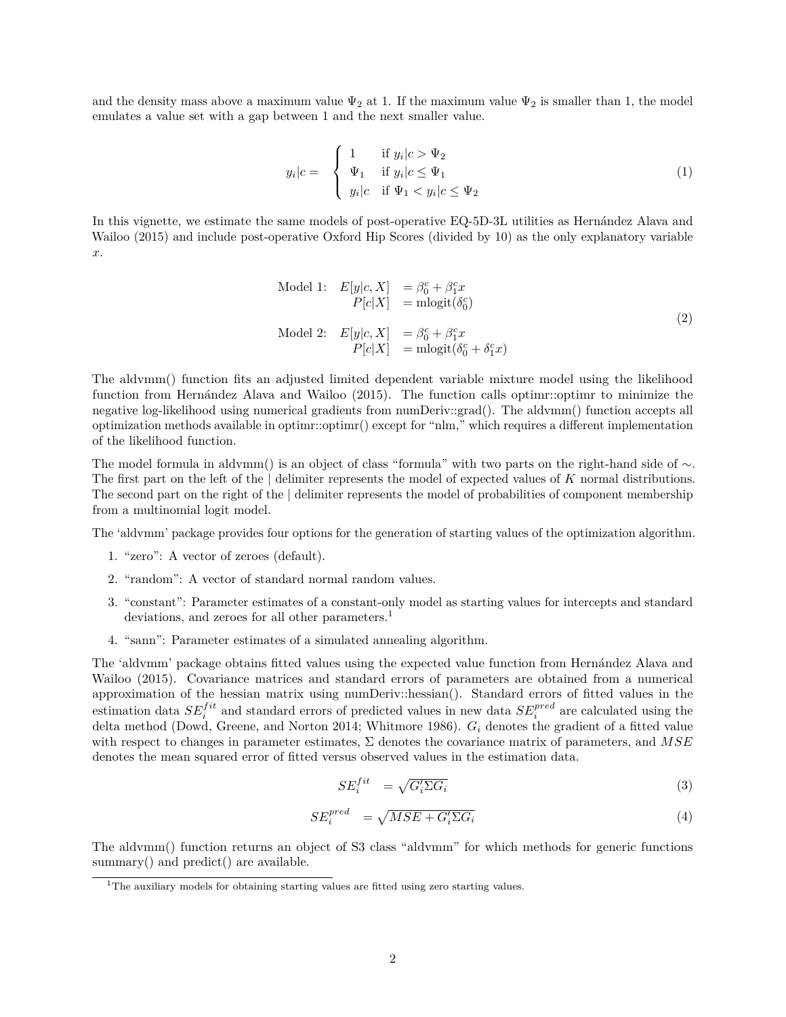and the density mass above a maximum value  $\Psi_2$  at 1. If the maximum value  $\Psi_2$  is smaller than 1, the model emulates a value set with a gap between 1 and the next smaller value.

$$
y_i|c = \begin{cases} 1 & \text{if } y_i|c > \Psi_2 \\ \Psi_1 & \text{if } y_i|c \le \Psi_1 \\ y_i|c & \text{if } \Psi_1 < y_i|c \le \Psi_2 \end{cases}
$$
 (1)

In this vignette, we estimate the same models of post-operative EQ-5D-3L utilities as Hernández Alava and Wailoo (2015) and include post-operative Oxford Hip Scores (divided by 10) as the only explanatory variable *x*.

Model 1: 
$$
E[y|c, X] = \beta_0^c + \beta_1^c x
$$

$$
P[c|X] = \text{mlogit}(\delta_0^c)
$$
  
Model 2: 
$$
E[y|c, X] = \beta_0^c + \beta_1^c x
$$

$$
P[c|X] = \text{mlogit}(\delta_0^c + \delta_1^c x)
$$
 (2)

The aldvmm() function fits an adjusted limited dependent variable mixture model using the likelihood function from Hernández Alava and Wailoo (2015). The function calls optimr::optimr to minimize the negative log-likelihood using numerical gradients from numDeriv::grad(). The aldvmm() function accepts all optimization methods available in optimr::optimr() except for "nlm," which requires a different implementation of the likelihood function.

The model formula in aldvmm() is an object of class "formula" with two parts on the right-hand side of ∼. The first part on the left of the | delimiter represents the model of expected values of *K* normal distributions. The second part on the right of the | delimiter represents the model of probabilities of component membership from a multinomial logit model.

The 'aldvmm' package provides four options for the generation of starting values of the optimization algorithm.

- 1. "zero": A vector of zeroes (default).
- 2. "random": A vector of standard normal random values.
- 3. "constant": Parameter estimates of a constant-only model as starting values for intercepts and standard deviations, and zeroes for all other parameters.<sup>[1](#page-1-0)</sup>
- 4. "sann": Parameter estimates of a simulated annealing algorithm.

The 'aldvmm' package obtains fitted values using the expected value function from Hernández Alava and Wailoo (2015). Covariance matrices and standard errors of parameters are obtained from a numerical approximation of the hessian matrix using numDeriv::hessian(). Standard errors of fitted values in the estimation data  $SE^{fit}_i$  and standard errors of predicted values in new data  $SE^{pred}_i$  are calculated using the delta method (Dowd, Greene, and Norton 2014; Whitmore 1986). *G<sup>i</sup>* denotes the gradient of a fitted value with respect to changes in parameter estimates, Σ denotes the covariance matrix of parameters, and *MSE* denotes the mean squared error of fitted versus observed values in the estimation data.

$$
SE_i^{fit} = \sqrt{G_i' \Sigma G_i} \tag{3}
$$

$$
SE_i^{pred} = \sqrt{MSE + G_i' \Sigma G_i}
$$
\n<sup>(4)</sup>

The aldvmm() function returns an object of S3 class "aldvmm" for which methods for generic functions summary() and predict() are available.

<span id="page-1-0"></span><sup>&</sup>lt;sup>1</sup>The auxiliary models for obtaining starting values are fitted using zero starting values.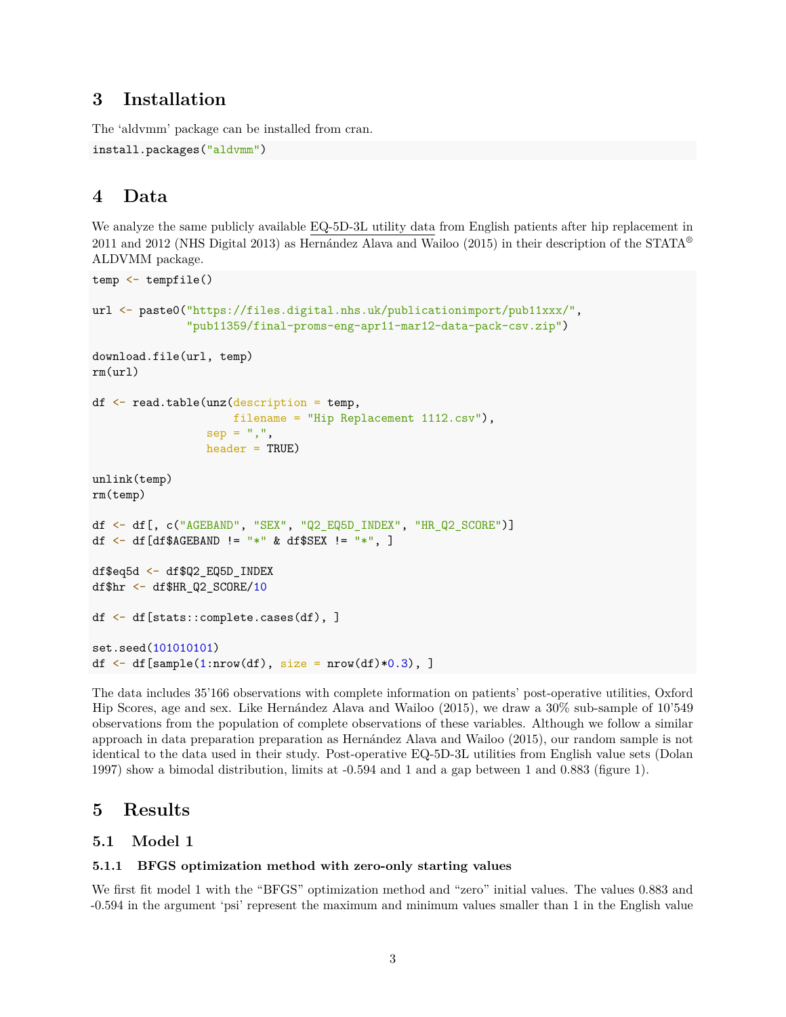### **3 Installation**

The 'aldvmm' package can be installed from cran.

```
install.packages("aldvmm")
```
## **4 Data**

We analyze the same publicly available [EQ-5D-3L utility data](https://digital.nhs.uk/data-and-information/publications/statistical/patient-reported-outcome-measures-proms/finalised-patient-reported-outcome-measures-proms-in-england-april-2011-to-march-2012) from English patients after hip replacement in 2011 and 2012 (NHS Digital 2013) as Hernández Alava and Wailoo (2015) in their description of the STATA<sup>®</sup> ALDVMM package.

```
temp <- tempfile()
url <- paste0("https://files.digital.nhs.uk/publicationimport/pub11xxx/",
              "pub11359/final-proms-eng-apr11-mar12-data-pack-csv.zip")
download.file(url, temp)
rm(url)
df <- read.table(unz(description = temp,
                     filename = "Hip Replacement 1112.csv"),
                 sep = ","header = TRUE)
unlink(temp)
rm(temp)
df \leq df [, c("AGEBAND", "SEX", "Q2 EQ5D INDEX", "HR Q2 SCORE")]df <- df [df$AGEBAND != "*" & df$SEX != "*", ]
df$eq5d <- df$Q2_EQ5D_INDEX
df$hr <- df$HR_Q2_SCORE/10
df <- df[stats::complete.cases(df), ]
set.seed(101010101)
df \leftarrow df [sample(1:nrow(df), size = nrow(df)*0.3), ]
```
The data includes 35'166 observations with complete information on patients' post-operative utilities, Oxford Hip Scores, age and sex. Like Hernández Alava and Wailoo (2015), we draw a 30% sub-sample of 10'549 observations from the population of complete observations of these variables. Although we follow a similar approach in data preparation preparation as Hernández Alava and Wailoo (2015), our random sample is not identical to the data used in their study. Post-operative EQ-5D-3L utilities from English value sets (Dolan 1997) show a bimodal distribution, limits at -0.594 and 1 and a gap between 1 and 0.883 (figure [1\)](#page-3-0).

## **5 Results**

### **5.1 Model 1**

### **5.1.1 BFGS optimization method with zero-only starting values**

We first fit model 1 with the "BFGS" optimization method and "zero" initial values. The values 0.883 and -0.594 in the argument 'psi' represent the maximum and minimum values smaller than 1 in the English value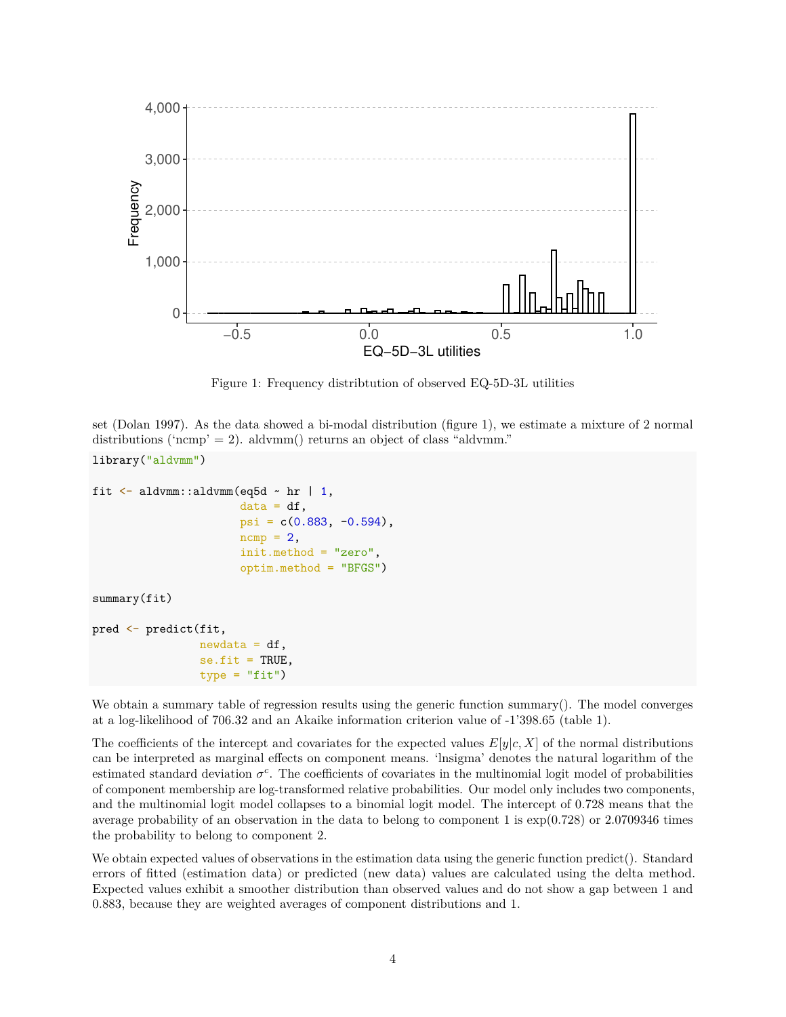

<span id="page-3-0"></span>Figure 1: Frequency distribtution of observed EQ-5D-3L utilities

set (Dolan 1997). As the data showed a bi-modal distribution (figure [1\)](#page-3-0), we estimate a mixture of 2 normal distributions ('ncmp' = 2). aldvmm() returns an object of class "aldvmm."

```
library("aldvmm")
fit \leq aldvmm::aldvmm(eq5d \sim hr | 1,
                       data = df,psi = c(0.883, -0.594),
                       ncmp = 2,
                       init.method = "zero",
                       optim.method = "BFGS")
summary(fit)
pred <- predict(fit,
                newdata = df,
                 se.fit = TRUE,type = "fit")
```
We obtain a summary table of regression results using the generic function summary(). The model converges at a log-likelihood of 706.32 and an Akaike information criterion value of -1'398.65 (table [1\)](#page-4-0).

The coefficients of the intercept and covariates for the expected values  $E[y|c, X]$  of the normal distributions can be interpreted as marginal effects on component means. 'lnsigma' denotes the natural logarithm of the estimated standard deviation  $\sigma^c$ . The coefficients of covariates in the multinomial logit model of probabilities of component membership are log-transformed relative probabilities. Our model only includes two components, and the multinomial logit model collapses to a binomial logit model. The intercept of 0.728 means that the average probability of an observation in the data to belong to component 1 is exp(0*.*728) or 2.0709346 times the probability to belong to component 2.

We obtain expected values of observations in the estimation data using the generic function predict(). Standard errors of fitted (estimation data) or predicted (new data) values are calculated using the delta method. Expected values exhibit a smoother distribution than observed values and do not show a gap between 1 and 0.883, because they are weighted averages of component distributions and 1.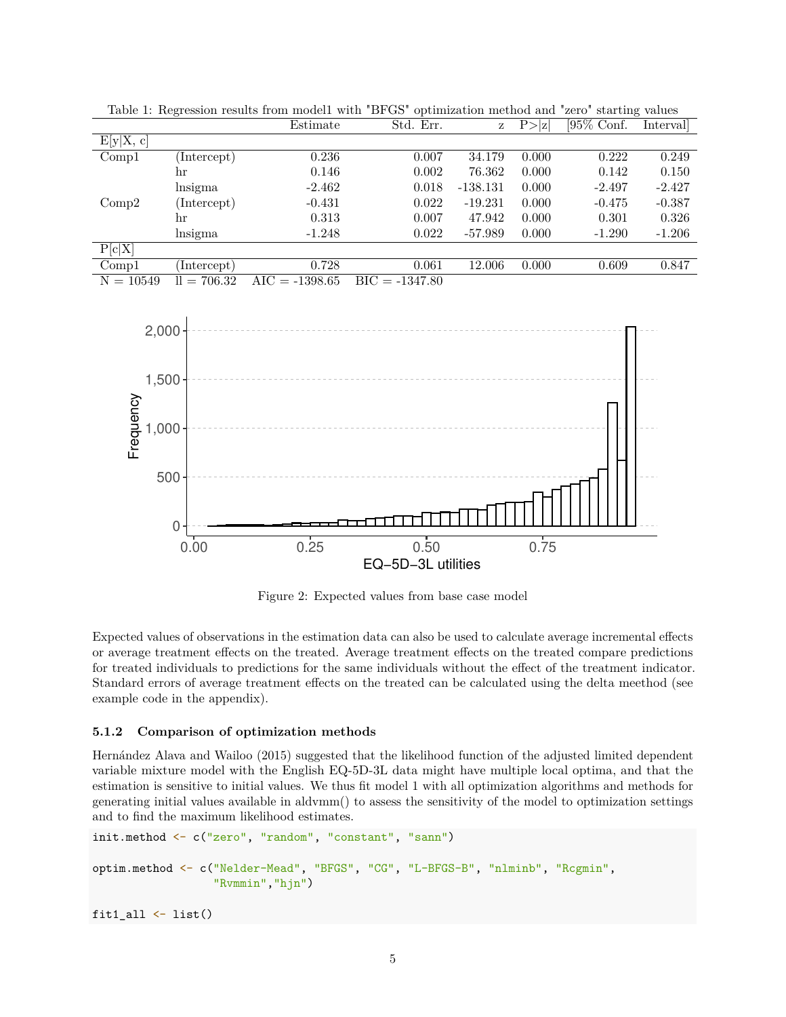|             |               | Estimate         | Std. Err.        | Z          | P >  z | $[95\%$ Conf. | Interval |
|-------------|---------------|------------------|------------------|------------|--------|---------------|----------|
| E[y X, c]   |               |                  |                  |            |        |               |          |
| Comp1       | (Intercept)   | 0.236            | 0.007            | 34.179     | 0.000  | 0.222         | 0.249    |
|             | hr            | 0.146            | 0.002            | 76.362     | 0.000  | 0.142         | 0.150    |
|             | lnsigma       | $-2.462$         | 0.018            | $-138.131$ | 0.000  | $-2.497$      | $-2.427$ |
| Comp2       | (Intercept)   | $-0.431$         | 0.022            | $-19.231$  | 0.000  | $-0.475$      | $-0.387$ |
|             | hr            | 0.313            | 0.007            | 47.942     | 0.000  | 0.301         | 0.326    |
|             | lnsigma       | $-1.248$         | 0.022            | -57.989    | 0.000  | $-1.290$      | $-1.206$ |
| P[c X]      |               |                  |                  |            |        |               |          |
| Comp1       | Intercept)    | 0.728            | 0.061            | 12.006     | 0.000  | 0.609         | 0.847    |
| $N = 10549$ | $ll = 706.32$ | $AIC = -1398.65$ | $BIC = -1347.80$ |            |        |               |          |
|             |               |                  |                  |            |        |               |          |

<span id="page-4-0"></span>Table 1: Regression results from model1 with "BFGS" optimization method and "zero" starting values



Figure 2: Expected values from base case model

Expected values of observations in the estimation data can also be used to calculate average incremental effects or average treatment effects on the treated. Average treatment effects on the treated compare predictions for treated individuals to predictions for the same individuals without the effect of the treatment indicator. Standard errors of average treatment effects on the treated can be calculated using the delta meethod (see example code in the appendix).

#### **5.1.2 Comparison of optimization methods**

Hernández Alava and Wailoo (2015) suggested that the likelihood function of the adjusted limited dependent variable mixture model with the English EQ-5D-3L data might have multiple local optima, and that the estimation is sensitive to initial values. We thus fit model 1 with all optimization algorithms and methods for generating initial values available in aldvmm() to assess the sensitivity of the model to optimization settings and to find the maximum likelihood estimates.

```
init.method <- c("zero", "random", "constant", "sann")
optim.method <- c("Nelder-Mead", "BFGS", "CG", "L-BFGS-B", "nlminb", "Rcgmin",
                  "Rvmmin","hjn")
```
fit $1$ \_all  $\leftarrow$  list()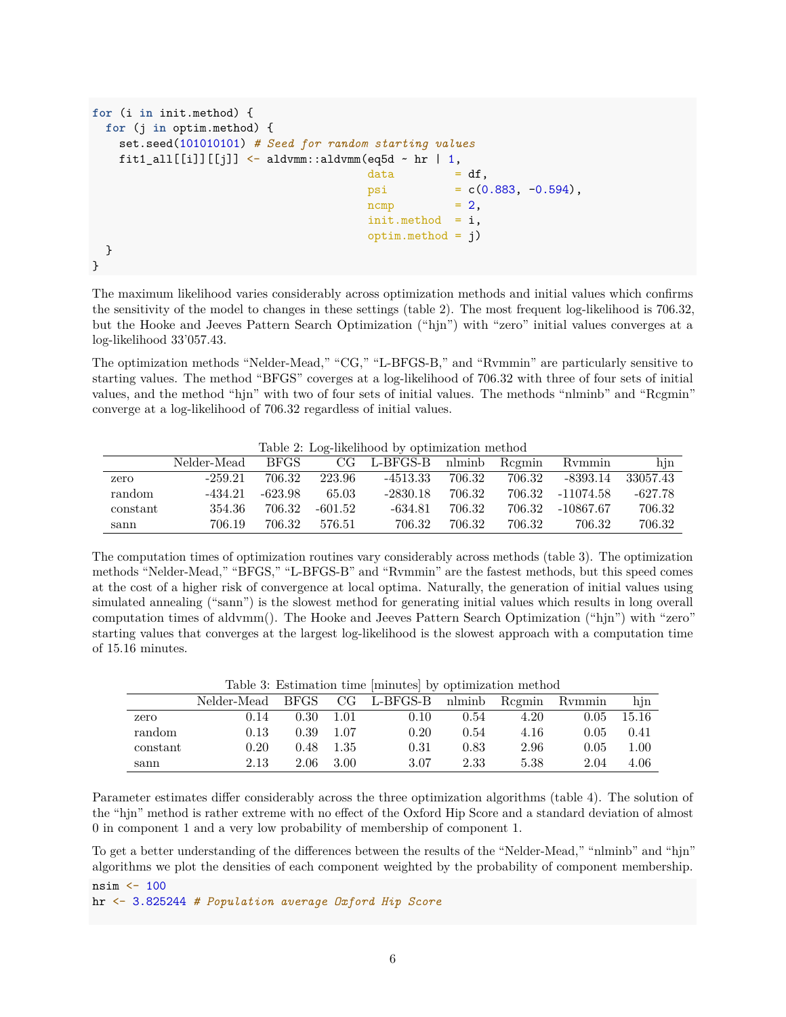```
for (i in init.method) {
 for (j in optim.method) {
   set.seed(101010101) # Seed for random starting values
   fit1 all[[i]][[i]] \leq aldvmm::aldvmm(eq5d \sim hr | 1,
                                      data = df,
                                      psi = c(0.883, -0.594),
                                      ncmp = 2,
                                      init.method = i,
                                      optim.method = j)}
}
```
The maximum likelihood varies considerably across optimization methods and initial values which confirms the sensitivity of the model to changes in these settings (table [2\)](#page-5-0). The most frequent log-likelihood is 706.32, but the Hooke and Jeeves Pattern Search Optimization ("hjn") with "zero" initial values converges at a log-likelihood 33'057.43.

The optimization methods "Nelder-Mead," "CG," "L-BFGS-B," and "Rvmmin" are particularly sensitive to starting values. The method "BFGS" coverges at a log-likelihood of 706.32 with three of four sets of initial values, and the method "hjn" with two of four sets of initial values. The methods "nlminb" and "Rcgmin" converge at a log-likelihood of 706.32 regardless of initial values.

<span id="page-5-0"></span>Table 2: Log-likelihood by optimization method

|          | Nelder-Mead | BFGS -  |         | $CG$ L-BFGS-B nlminb Regmin |        |        | Rymmin           | hjn        |
|----------|-------------|---------|---------|-----------------------------|--------|--------|------------------|------------|
| zero     | $-259.21$   | 706.32  | 223.96  | -4513.33                    | 706.32 | 706.32 | -8393.14         | - 33057.43 |
| random.  | -434.21     | -623.98 | 65.03   | -2830.18                    | 706.32 |        | 706.32 -11074.58 | -627.78    |
| constant | 354.36      | 706.32  | -601.52 | -634.81                     | 706.32 |        | 706.32 -10867.67 | 706.32     |
| sann     | 706.19      | 706.32  | 576.51  | 706.32                      | 706.32 | 706.32 | 706.32           | 706.32     |

The computation times of optimization routines vary considerably across methods (table [3\)](#page-5-1). The optimization methods "Nelder-Mead," "BFGS," "L-BFGS-B" and "Rvmmin" are the fastest methods, but this speed comes at the cost of a higher risk of convergence at local optima. Naturally, the generation of initial values using simulated annealing ("sann") is the slowest method for generating initial values which results in long overall computation times of aldvmm(). The Hooke and Jeeves Pattern Search Optimization ("hjn") with "zero" starting values that converges at the largest log-likelihood is the slowest approach with a computation time of 15.16 minutes.

|          |             |                |         | Lable 9. Estimation time uniterated by optimization inclined |      |      |        |          |
|----------|-------------|----------------|---------|--------------------------------------------------------------|------|------|--------|----------|
|          | Nelder-Mead | BFGS           |         | $CG$ L-BFGS-B nlminb Regmin                                  |      |      | Rymmin | hin      |
| zero     | 0.14        | $0.30^{\circ}$ | $-1.01$ | 0.10                                                         | 0.54 | 4.20 | 0.05   | 15.16    |
| random.  | 0.13        | 0.39           | -1.07   | 0.20                                                         | 0.54 | 4.16 | 0.05   | 0.41     |
| constant | 0.20        | 0.48           | -1.35   | 0.31                                                         | 0.83 | 2.96 | 0.05   | $1.00\,$ |
| sann     | 2.13        | 2.06           | 3.00    | 3.07                                                         | 2.33 | 5.38 | 2.04   | 4.06     |

<span id="page-5-1"></span>Table 3: Estimation time [minutes] by optimization method

Parameter estimates differ considerably across the three optimization algorithms (table [4\)](#page-6-0). The solution of the "hjn" method is rather extreme with no effect of the Oxford Hip Score and a standard deviation of almost 0 in component 1 and a very low probability of membership of component 1.

To get a better understanding of the differences between the results of the "Nelder-Mead," "nlminb" and "hjn" algorithms we plot the densities of each component weighted by the probability of component membership.

nsim  $\leq$  100 hr <- 3.825244 *# Population average Oxford Hip Score*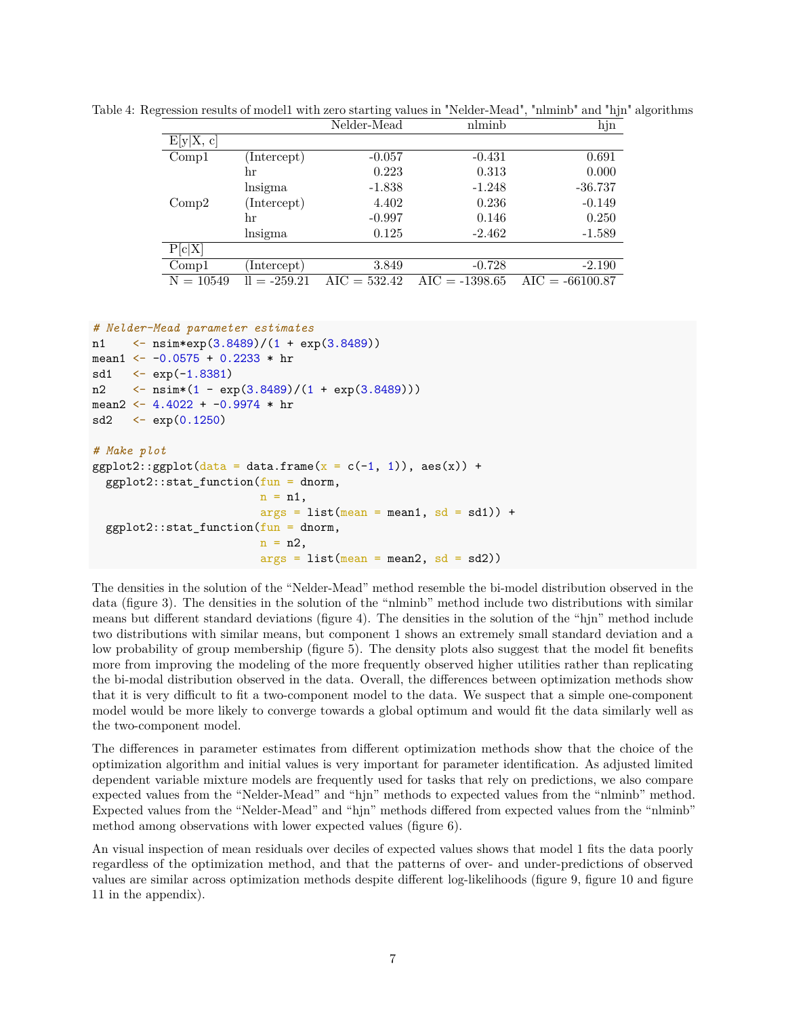<span id="page-6-0"></span>

|             |                | Nelder-Mead    | nlminb           | hjn               |
|-------------|----------------|----------------|------------------|-------------------|
| E[y X, c]   |                |                |                  |                   |
| Comp1       | (Intercept)    | $-0.057$       | $-0.431$         | 0.691             |
|             | hr             | 0.223          | 0.313            | 0.000             |
|             | lnsigma        | $-1.838$       | $-1.248$         | $-36.737$         |
| Comp2       | (Intercept)    | 4.402          | 0.236            | $-0.149$          |
|             | hr             | $-0.997$       | 0.146            | 0.250             |
|             | lnsigma        | 0.125          | $-2.462$         | $-1.589$          |
| P[c X]      |                |                |                  |                   |
| Compl       | Intercept)     | 3.849          | $-0.728$         | $-2.190$          |
| $N = 10549$ | $ll = -259.21$ | $AIC = 532.42$ | $AIC = -1398.65$ | $AIC = -66100.87$ |

Table 4: Regression results of model1 with zero starting values in "Nelder-Mead", "nlminb" and "hjn" algorithms

```
# Nelder-Mead parameter estimates
n1 <- nsim*exp(3.8489)/(1 + exp(3.8489))
mean1 <- -0.0575 + 0.2233 * hrsd1 \leq - \exp(-1.8381)n2 \langle -\nsim(1 - \exp(3.8489)/(1 + \exp(3.8489)))\ranglemean2 <- 4.4022 + -0.9974 * hrsd2 \leq -exp(0.1250)# Make plot
ggplot2::ggplot(data = data-frame(x = c(-1, 1)), aes(x)) +ggplot2::stat_function(fun = donor,n = n1,
                         args = list(mean = mean1, sd = sd1) +
  ggplot2::stat_function(fun = dnorm,n = n2,
                         args = list(mean = mean2, sd = sd2)
```
The densities in the solution of the "Nelder-Mead" method resemble the bi-model distribution observed in the data (figure [3\)](#page-7-0). The densities in the solution of the "nlminb" method include two distributions with similar means but different standard deviations (figure [4\)](#page-7-1). The densities in the solution of the "hjn" method include two distributions with similar means, but component 1 shows an extremely small standard deviation and a low probability of group membership (figure [5\)](#page-8-0). The density plots also suggest that the model fit benefits more from improving the modeling of the more frequently observed higher utilities rather than replicating the bi-modal distribution observed in the data. Overall, the differences between optimization methods show that it is very difficult to fit a two-component model to the data. We suspect that a simple one-component model would be more likely to converge towards a global optimum and would fit the data similarly well as the two-component model.

The differences in parameter estimates from different optimization methods show that the choice of the optimization algorithm and initial values is very important for parameter identification. As adjusted limited dependent variable mixture models are frequently used for tasks that rely on predictions, we also compare expected values from the "Nelder-Mead" and "hjn" methods to expected values from the "nlminb" method. Expected values from the "Nelder-Mead" and "hjn" methods differed from expected values from the "nlminb" method among observations with lower expected values (figure [6\)](#page-8-1).

An visual inspection of mean residuals over deciles of expected values shows that model 1 fits the data poorly regardless of the optimization method, and that the patterns of over- and under-predictions of observed values are similar across optimization methods despite different log-likelihoods (figure [9,](#page-20-0) figure [10](#page-20-1) and figure [11](#page-20-2) in the appendix).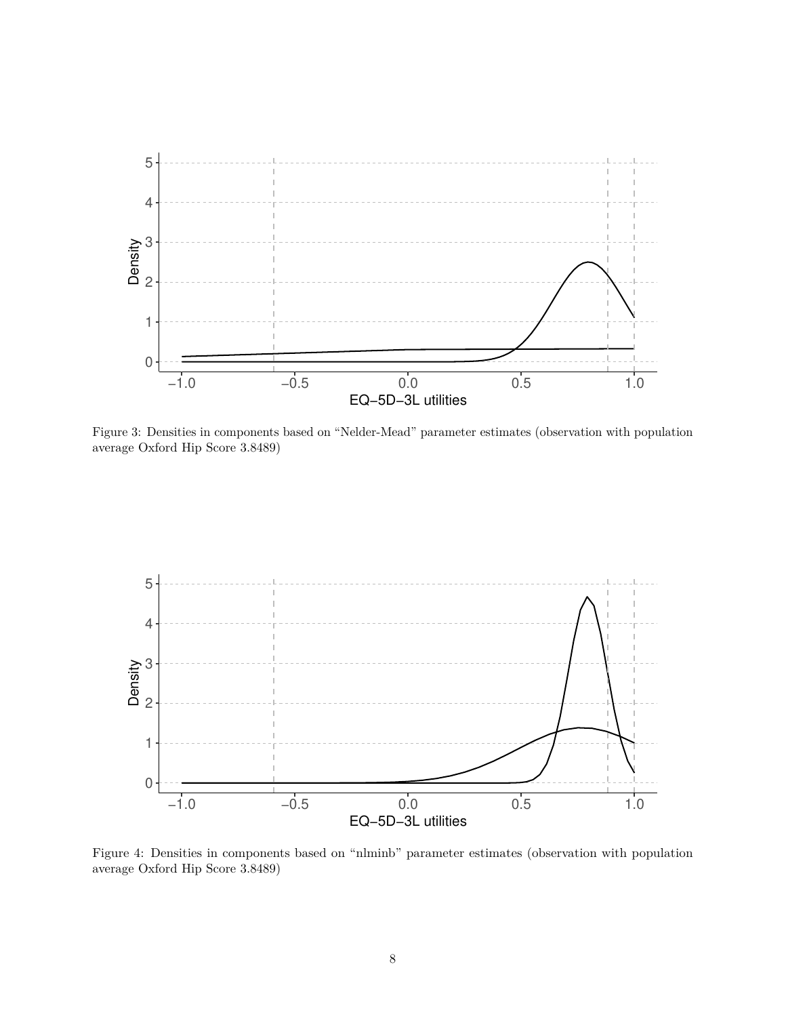

<span id="page-7-0"></span>Figure 3: Densities in components based on "Nelder-Mead" parameter estimates (observation with population average Oxford Hip Score 3.8489)



<span id="page-7-1"></span>Figure 4: Densities in components based on "nlminb" parameter estimates (observation with population average Oxford Hip Score 3.8489)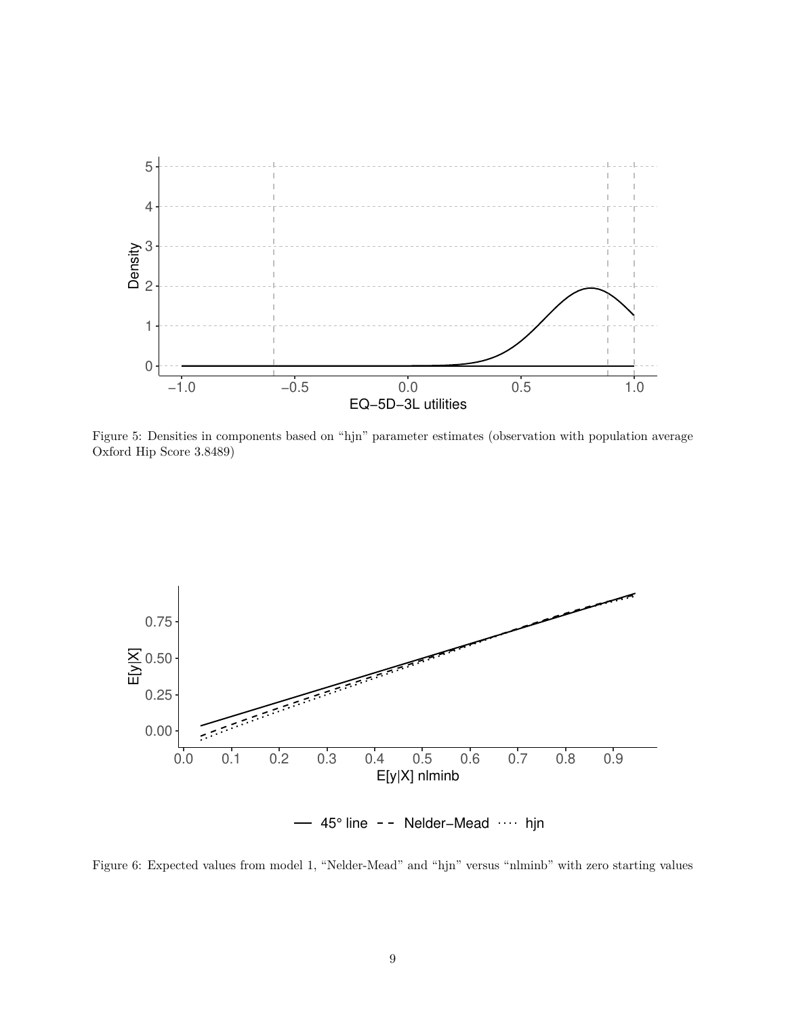

<span id="page-8-0"></span>Figure 5: Densities in components based on "hjn" parameter estimates (observation with population average Oxford Hip Score 3.8489)



<span id="page-8-1"></span>Figure 6: Expected values from model 1, "Nelder-Mead" and "hjn" versus "nlminb" with zero starting values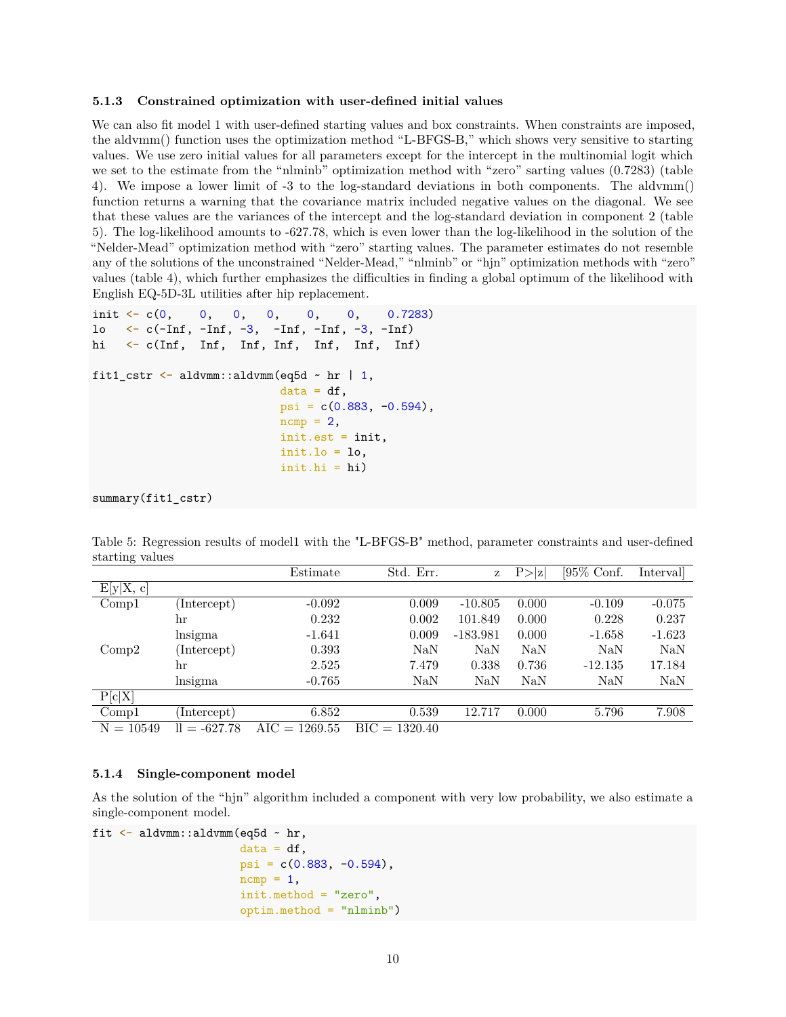#### **5.1.3 Constrained optimization with user-defined initial values**

We can also fit model 1 with user-defined starting values and box constraints. When constraints are imposed, the aldvmm() function uses the optimization method "L-BFGS-B," which shows very sensitive to starting values. We use zero initial values for all parameters except for the intercept in the multinomial logit which we set to the estimate from the "nlminb" optimization method with "zero" sarting values (0.7283) (table [4\)](#page-6-0). We impose a lower limit of -3 to the log-standard deviations in both components. The aldvmm() function returns a warning that the covariance matrix included negative values on the diagonal. We see that these values are the variances of the intercept and the log-standard deviation in component 2 (table [5\)](#page-9-0). The log-likelihood amounts to -627.78, which is even lower than the log-likelihood in the solution of the "Nelder-Mead" optimization method with "zero" starting values. The parameter estimates do not resemble any of the solutions of the unconstrained "Nelder-Mead," "nlminb" or "hjn" optimization methods with "zero" values (table [4\)](#page-6-0), which further emphasizes the difficulties in finding a global optimum of the likelihood with English EQ-5D-3L utilities after hip replacement.

```
init <- c(0, 0, 0, 0, 0, 0, 0.7283)
lo \leftarrow c(-\text{Inf}, -\text{Inf}, -3, -\text{Inf}, -\text{Inf}, -3, -\text{Inf})hi <- c(Inf, Inf, Inf, Inf, Inf, Inf, Inf)
fit1_cstr \leq aldvmm::aldvmm(eq5d \sim hr | 1,
                              data = df,
                              psi = c(0.883, -0.594),
                              ncmp = 2,
                              init.est = init,
                              init.1o = 1o,init.hi = hi)
```
summary(fit1\_cstr)

<span id="page-9-0"></span>Table 5: Regression results of model1 with the "L-BFGS-B" method, parameter constraints and user-defined starting values

| ---------   |                | Estimate        | Std. Err.       | z          | P >  z | [95\% Conf. | Interval |
|-------------|----------------|-----------------|-----------------|------------|--------|-------------|----------|
| E[y X, c]   |                |                 |                 |            |        |             |          |
| Comp1       | Intercept)     | $-0.092$        | 0.009           | $-10.805$  | 0.000  | $-0.109$    | $-0.075$ |
|             | hr             | 0.232           | 0.002           | 101.849    | 0.000  | 0.228       | 0.237    |
|             | lnsigma        | $-1.641$        | 0.009           | $-183.981$ | 0.000  | $-1.658$    | $-1.623$ |
| Comp2       | (Intercept)    | 0.393           | NaN             | NaN        | NaN    | <b>NaN</b>  | NaN      |
|             | hr             | 2.525           | 7.479           | 0.338      | 0.736  | $-12.135$   | 17.184   |
|             | lnsigma        | $-0.765$        | NaN             | $\rm NaN$  | NaN    | NaN         | NaN      |
| P[c X]      |                |                 |                 |            |        |             |          |
| Comp1       | Intercept)     | 6.852           | 0.539           | 12.717     | 0.000  | 5.796       | 7.908    |
| $N = 10549$ | $ll = -627.78$ | $AIC = 1269.55$ | $BIC = 1320.40$ |            |        |             |          |

#### **5.1.4 Single-component model**

As the solution of the "hjn" algorithm included a component with very low probability, we also estimate a single-component model.

```
fit <- aldvmm::aldvmm(eq5d ~ hr,
                      data = df,
                      psi = c(0.883, -0.594),
                      ncmp = 1,
                      init.method = "zero",
                      optim.method = "nlminb")
```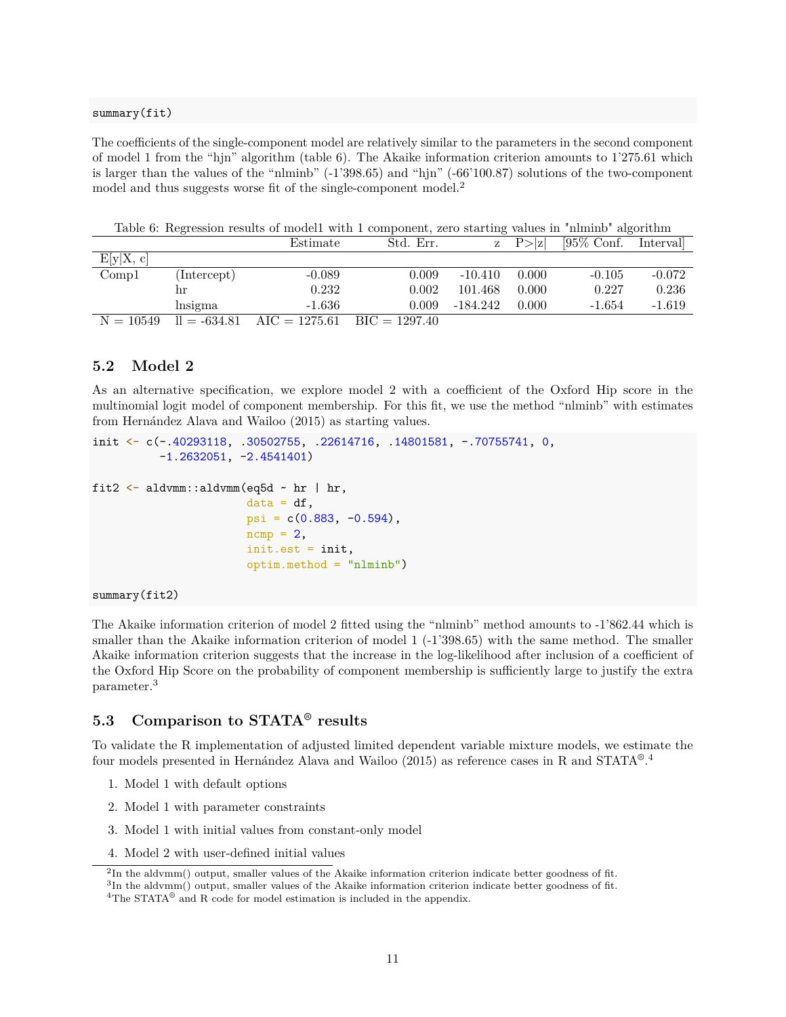#### summary(fit)

The coefficients of the single-component model are relatively similar to the parameters in the second component of model 1 from the "hjn" algorithm (table [6\)](#page-10-0). The Akaike information criterion amounts to 1'275.61 which is larger than the values of the "nlminb" (-1'398.65) and "hjn" (-66'100.87) solutions of the two-component model and thus suggests worse fit of the single-component model.[2](#page-10-1)

|           |             | Table 0. The results of modern with a component, zero starting values in minimo algorithm |           |           |                   |                        |          |
|-----------|-------------|-------------------------------------------------------------------------------------------|-----------|-----------|-------------------|------------------------|----------|
|           |             | Estimate                                                                                  | Std. Err. |           | $z \quad P >  z $ | $[95\%$ Conf. Interval |          |
| E[y X, c] |             |                                                                                           |           |           |                   |                        |          |
| Compl     | (Intercept) | $-0.089$                                                                                  | 0.009     | $-10.410$ | - 0.000           | $-0.105$               | $-0.072$ |
|           | hr          | 0.232                                                                                     | $0.002\,$ | 101.468   | 0.000             | 0.227                  | 0.236    |

lnsigma -1.636 0.009 -184.242 0.000 -1.654 -1.619

<span id="page-10-0"></span>Table 6: Regression results of model1 with 1 component, zero starting values in "nlminb" algorithm

**5.2 Model 2**

As an alternative specification, we explore model 2 with a coefficient of the Oxford Hip score in the multinomial logit model of component membership. For this fit, we use the method "nlminb" with estimates from Hernández Alava and Wailoo (2015) as starting values.

```
init \langle -c(-.40293118, .30502755, .22614716, .14801581, -.70755741, 0,-1.2632051, -2.4541401)
```

```
fit2 <- aldvmm::aldvmm(eq5d ~ hr | hr,
                       data = df,psi = c(0.883, -0.594),
                       ncmp = 2,
                       init.est = init,
                       optim.method = "nlminb")
```
 $N = 10549$  ll =  $-634.81$  AIC = 1275.61 BIC = 1297.40

```
summary(fit2)
```
The Akaike information criterion of model 2 fitted using the "nlminb" method amounts to -1'862.44 which is smaller than the Akaike information criterion of model 1 (-1'398.65) with the same method. The smaller Akaike information criterion suggests that the increase in the log-likelihood after inclusion of a coefficient of the Oxford Hip Score on the probability of component membership is sufficiently large to justify the extra parameter.[3](#page-10-2)

## **5.3 Comparison to STATA® results**

To validate the R implementation of adjusted limited dependent variable mixture models, we estimate the four models presented in Hernández Alava and Wailoo (2015) as reference cases in R and STATA<sup>®</sup>.<sup>[4](#page-10-3)</sup>

- 1. Model 1 with default options
- 2. Model 1 with parameter constraints
- 3. Model 1 with initial values from constant-only model
- 4. Model 2 with user-defined initial values

```
<sup>2</sup>In the aldvmm() output, smaller values of the Akaike information criterion indicate better goodness of fit.
```

```
{}^{3}In the aldvmm() output, smaller values of the Akaike information criterion indicate better goodness of fit.
```
<span id="page-10-3"></span><sup>&</sup>lt;sup>4</sup>The STATA<sup>®</sup> and R code for model estimation is included in the appendix.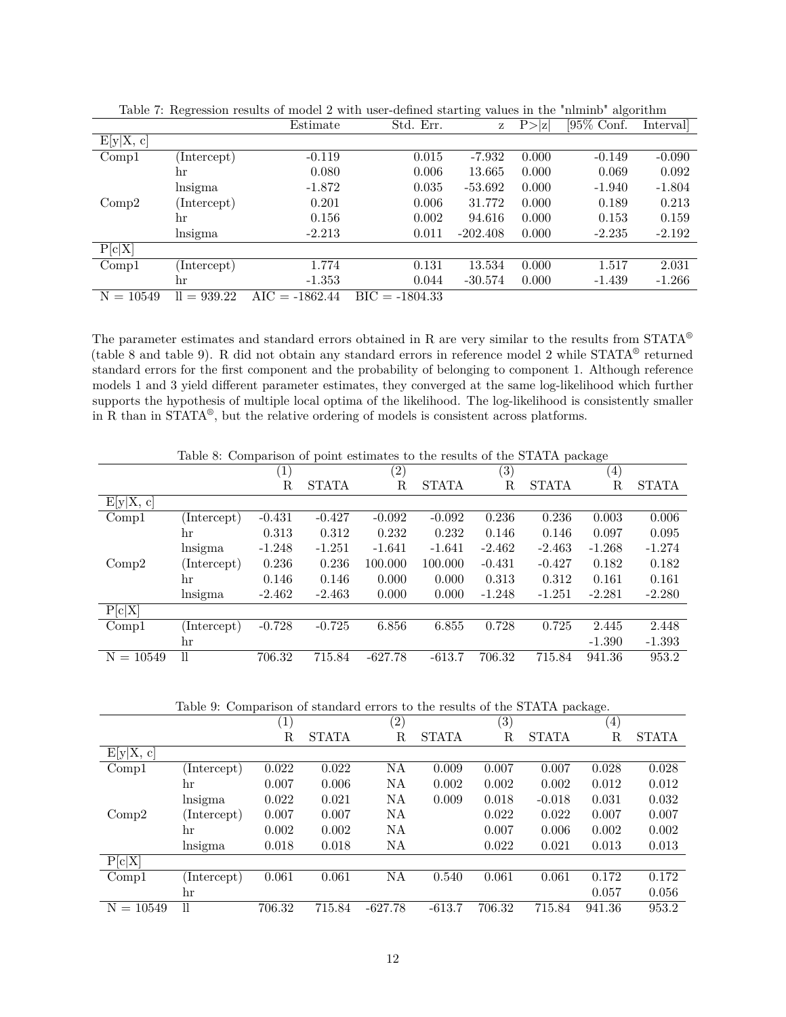|                |               | Estimate         | Std. Err.        | Ζ          | P >  z | [95\% Conf. | Interval |
|----------------|---------------|------------------|------------------|------------|--------|-------------|----------|
| E[y X, c]      |               |                  |                  |            |        |             |          |
| Compl          | Intercept)    | $-0.119$         | 0.015            | $-7.932$   | 0.000  | $-0.149$    | $-0.090$ |
|                | hr            | 0.080            | 0.006            | 13.665     | 0.000  | 0.069       | 0.092    |
|                | lnsigma       | $-1.872$         | 0.035            | $-53.692$  | 0.000  | $-1.940$    | $-1.804$ |
| Comp2          | (Intercept)   | 0.201            | 0.006            | 31.772     | 0.000  | 0.189       | 0.213    |
|                | hr            | 0.156            | 0.002            | 94.616     | 0.000  | 0.153       | 0.159    |
|                | lnsigma       | $-2.213$         | 0.011            | $-202.408$ | 0.000  | $-2.235$    | $-2.192$ |
| P[c X]         |               |                  |                  |            |        |             |          |
| Comp1          | Intercept)    | 1.774            | 0.131            | 13.534     | 0.000  | 1.517       | 2.031    |
|                | hr            | $-1.353$         | 0.044            | $-30.574$  | 0.000  | $-1.439$    | $-1.266$ |
| $= 10549$<br>Ν | $ll = 939.22$ | $AIC = -1862.44$ | $BIC = -1804.33$ |            |        |             |          |

Table 7: Regression results of model 2 with user-defined starting values in the "nlminb" algorithm

The parameter estimates and standard errors obtained in R are very similar to the results from STATA® (table [8](#page-11-0) and table [9\)](#page-11-1). R did not obtain any standard errors in reference model 2 while STATA® returned standard errors for the first component and the probability of belonging to component 1. Although reference models 1 and 3 yield different parameter estimates, they converged at the same log-likelihood which further supports the hypothesis of multiple local optima of the likelihood. The log-likelihood is consistently smaller in R than in STATA® , but the relative ordering of models is consistent across platforms.

|             | Table 8. Comparison of point estimates to the results of the STATA package |                  |              |                   |              |                   |              |                  |              |
|-------------|----------------------------------------------------------------------------|------------------|--------------|-------------------|--------------|-------------------|--------------|------------------|--------------|
|             |                                                                            | $\left(1\right)$ |              | $\left( 2\right)$ |              | $\left( 3\right)$ |              | $\left(4\right)$ |              |
|             |                                                                            | R                | <b>STATA</b> | R                 | <b>STATA</b> | R                 | <b>STATA</b> | R                | <b>STATA</b> |
| E[y X, c]   |                                                                            |                  |              |                   |              |                   |              |                  |              |
| Compl       | (Intercept)                                                                | $-0.431$         | $-0.427$     | $-0.092$          | $-0.092$     | 0.236             | 0.236        | 0.003            | 0.006        |
|             | hr                                                                         | 0.313            | 0.312        | 0.232             | 0.232        | 0.146             | 0.146        | 0.097            | 0.095        |
|             | lnsigma                                                                    | $-1.248$         | $-1.251$     | $-1.641$          | $-1.641$     | $-2.462$          | $-2.463$     | $-1.268$         | $-1.274$     |
| Comp2       | (Intercept)                                                                | 0.236            | 0.236        | 100.000           | 100.000      | $-0.431$          | $-0.427$     | 0.182            | 0.182        |
|             | hr                                                                         | 0.146            | 0.146        | 0.000             | 0.000        | 0.313             | 0.312        | 0.161            | 0.161        |
|             | lnsigma                                                                    | $-2.462$         | $-2.463$     | 0.000             | 0.000        | $-1.248$          | $-1.251$     | $-2.281$         | $-2.280$     |
| P[c X]      |                                                                            |                  |              |                   |              |                   |              |                  |              |
| Compl       | (Intercept)                                                                | $-0.728$         | $-0.725$     | 6.856             | 6.855        | 0.728             | 0.725        | 2.445            | 2.448        |
|             | hr                                                                         |                  |              |                   |              |                   |              | $-1.390$         | $-1.393$     |
| $N = 10549$ | $\mathbf{1}$                                                               | 706.32           | 715.84       | $-627.78$         | $-613.7$     | 706.32            | 715.84       | 941.36           | 953.2        |

<span id="page-11-0"></span>Table 8: Comparison of point estimates to the results of the STATA package

<span id="page-11-1"></span>Table 9: Comparison of standard errors to the results of the STATA package.

|             |              | $\mathbf{r}$     |        |                   |              |                   | $\mathbf{r}$ | $\circ$     |              |
|-------------|--------------|------------------|--------|-------------------|--------------|-------------------|--------------|-------------|--------------|
|             |              | $\left  \right $ |        | $\left( 2\right)$ |              | $\left( 3\right)$ |              | (4)         |              |
|             |              | R                | STATA  | $_{\rm R}$        | <b>STATA</b> | $\mathbf R$       | <b>STATA</b> | $\mathbf R$ | <b>STATA</b> |
| E[y X, c]   |              |                  |        |                   |              |                   |              |             |              |
| Compl       | Intercept)   | 0.022            | 0.022  | ΝA                | 0.009        | 0.007             | 0.007        | 0.028       | 0.028        |
|             | hr           | 0.007            | 0.006  | ΝA                | 0.002        | 0.002             | 0.002        | 0.012       | 0.012        |
|             | lnsigma      | 0.022            | 0.021  | ΝA                | 0.009        | 0.018             | $-0.018$     | 0.031       | 0.032        |
| Comp2       | (Intercept)  | 0.007            | 0.007  | NA                |              | 0.022             | 0.022        | 0.007       | 0.007        |
|             | hr           | 0.002            | 0.002  | ΝA                |              | 0.007             | 0.006        | 0.002       | 0.002        |
|             | lnsigma      | 0.018            | 0.018  | NA                |              | 0.022             | 0.021        | 0.013       | 0.013        |
| P[c X]      |              |                  |        |                   |              |                   |              |             |              |
| Comp1       | Intercept)   | 0.061            | 0.061  | NΑ                | 0.540        | 0.061             | 0.061        | 0.172       | 0.172        |
|             | hr           |                  |        |                   |              |                   |              | 0.057       | 0.056        |
| $N = 10549$ | $\mathbf{1}$ | 706.32           | 715.84 | $-627.78$         | $-613.7$     | 706.32            | 715.84       | 941.36      | 953.2        |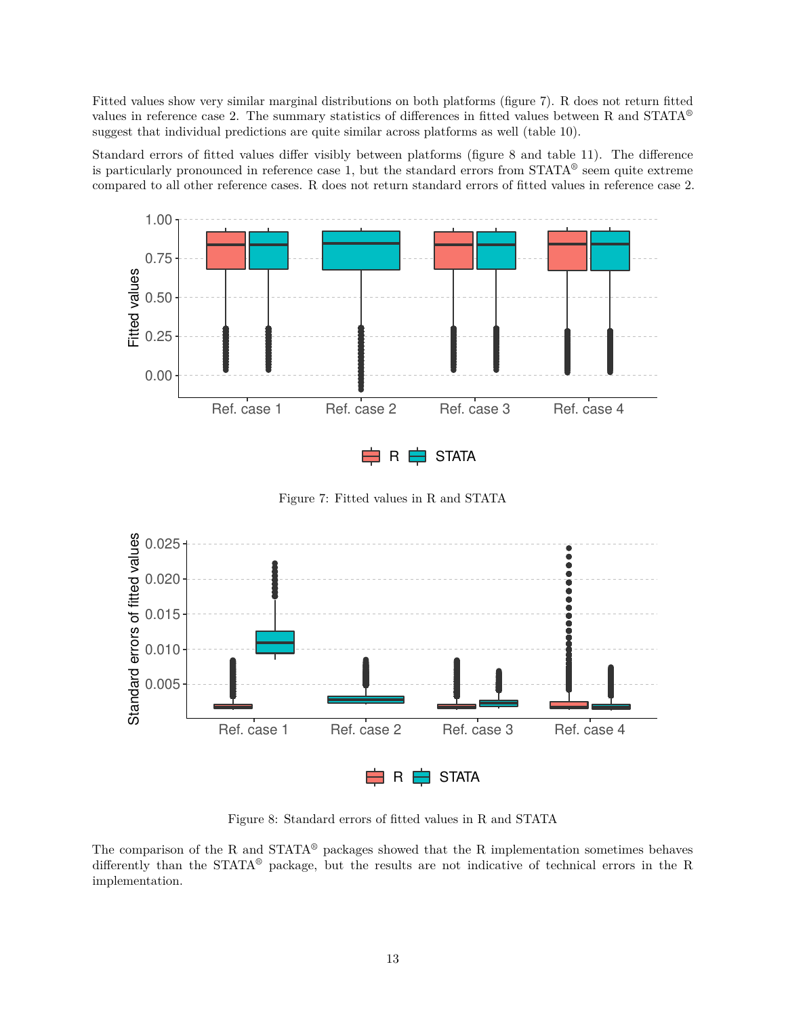Fitted values show very similar marginal distributions on both platforms (figure [7\)](#page-12-0). R does not return fitted values in reference case 2. The summary statistics of differences in fitted values between R and STATA® suggest that individual predictions are quite similar across platforms as well (table [10\)](#page-13-0).

Standard errors of fitted values differ visibly between platforms (figure [8](#page-12-1) and table [11\)](#page-13-1). The difference is particularly pronounced in reference case 1, but the standard errors from  $STATA^@$  seem quite extreme compared to all other reference cases. R does not return standard errors of fitted values in reference case 2.



<span id="page-12-0"></span>Figure 7: Fitted values in R and STATA



<span id="page-12-1"></span>Figure 8: Standard errors of fitted values in R and STATA

The comparison of the R and STATA® packages showed that the R implementation sometimes behaves differently than the STATA® package, but the results are not indicative of technical errors in the R implementation.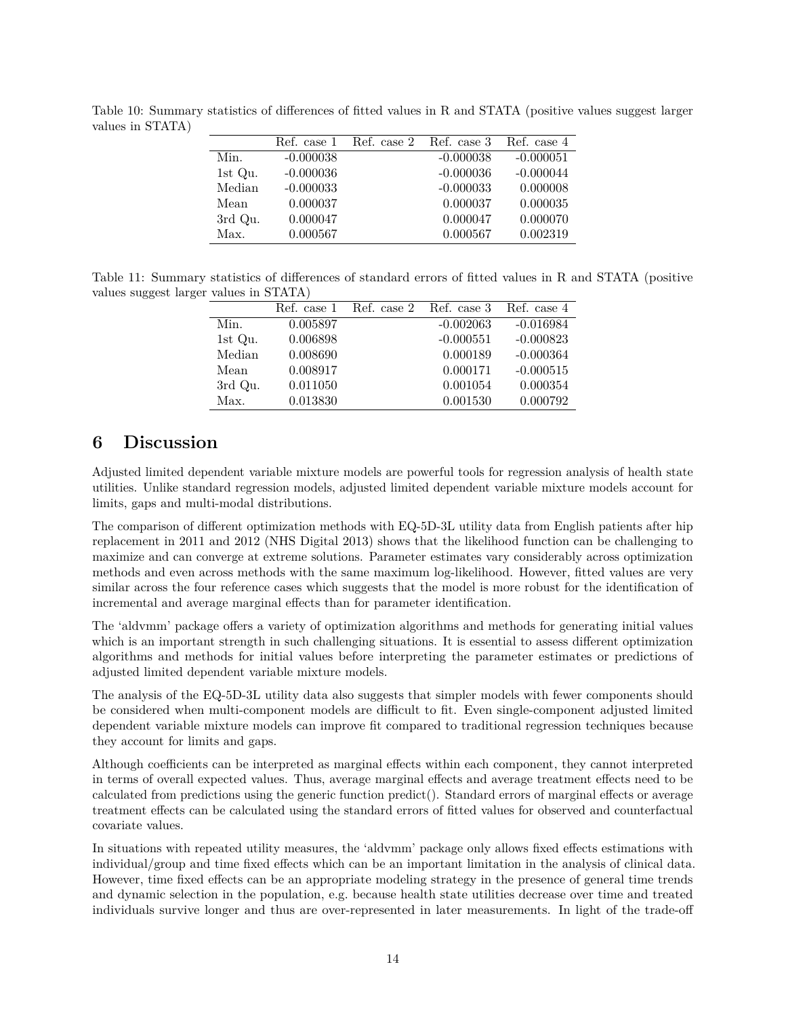|         |             | Ref. case 1 Ref. case 2 Ref. case 3 |             | Ref. case 4 |
|---------|-------------|-------------------------------------|-------------|-------------|
| Min.    | $-0.000038$ |                                     | $-0.000038$ | $-0.000051$ |
| 1st Qu. | $-0.000036$ |                                     | $-0.000036$ | $-0.000044$ |
| Median  | $-0.000033$ |                                     | $-0.000033$ | 0.000008    |
| Mean    | 0.000037    |                                     | 0.000037    | 0.000035    |
| 3rd Qu. | 0.000047    |                                     | 0.000047    | 0.000070    |
| Max.    | 0.000567    |                                     | 0.000567    | 0.002319    |

<span id="page-13-0"></span>Table 10: Summary statistics of differences of fitted values in R and STATA (positive values suggest larger values in STATA)

<span id="page-13-1"></span>Table 11: Summary statistics of differences of standard errors of fitted values in R and STATA (positive values suggest larger values in STATA)

| $\frac{1}{2}$ |          |                                     |             |             |
|---------------|----------|-------------------------------------|-------------|-------------|
|               |          | Ref. case 1 Ref. case 2 Ref. case 3 |             | Ref. case 4 |
| Min.          | 0.005897 |                                     | $-0.002063$ | $-0.016984$ |
| 1st Qu.       | 0.006898 |                                     | $-0.000551$ | $-0.000823$ |
| Median        | 0.008690 |                                     | 0.000189    | $-0.000364$ |
| Mean          | 0.008917 |                                     | 0.000171    | $-0.000515$ |
| 3rd Qu.       | 0.011050 |                                     | 0.001054    | 0.000354    |
| Max.          | 0.013830 |                                     | 0.001530    | 0.000792    |

## **6 Discussion**

Adjusted limited dependent variable mixture models are powerful tools for regression analysis of health state utilities. Unlike standard regression models, adjusted limited dependent variable mixture models account for limits, gaps and multi-modal distributions.

The comparison of different optimization methods with EQ-5D-3L utility data from English patients after hip replacement in 2011 and 2012 (NHS Digital 2013) shows that the likelihood function can be challenging to maximize and can converge at extreme solutions. Parameter estimates vary considerably across optimization methods and even across methods with the same maximum log-likelihood. However, fitted values are very similar across the four reference cases which suggests that the model is more robust for the identification of incremental and average marginal effects than for parameter identification.

The 'aldvmm' package offers a variety of optimization algorithms and methods for generating initial values which is an important strength in such challenging situations. It is essential to assess different optimization algorithms and methods for initial values before interpreting the parameter estimates or predictions of adjusted limited dependent variable mixture models.

The analysis of the EQ-5D-3L utility data also suggests that simpler models with fewer components should be considered when multi-component models are difficult to fit. Even single-component adjusted limited dependent variable mixture models can improve fit compared to traditional regression techniques because they account for limits and gaps.

Although coefficients can be interpreted as marginal effects within each component, they cannot interpreted in terms of overall expected values. Thus, average marginal effects and average treatment effects need to be calculated from predictions using the generic function predict(). Standard errors of marginal effects or average treatment effects can be calculated using the standard errors of fitted values for observed and counterfactual covariate values.

In situations with repeated utility measures, the 'aldvmm' package only allows fixed effects estimations with individual/group and time fixed effects which can be an important limitation in the analysis of clinical data. However, time fixed effects can be an appropriate modeling strategy in the presence of general time trends and dynamic selection in the population, e.g. because health state utilities decrease over time and treated individuals survive longer and thus are over-represented in later measurements. In light of the trade-off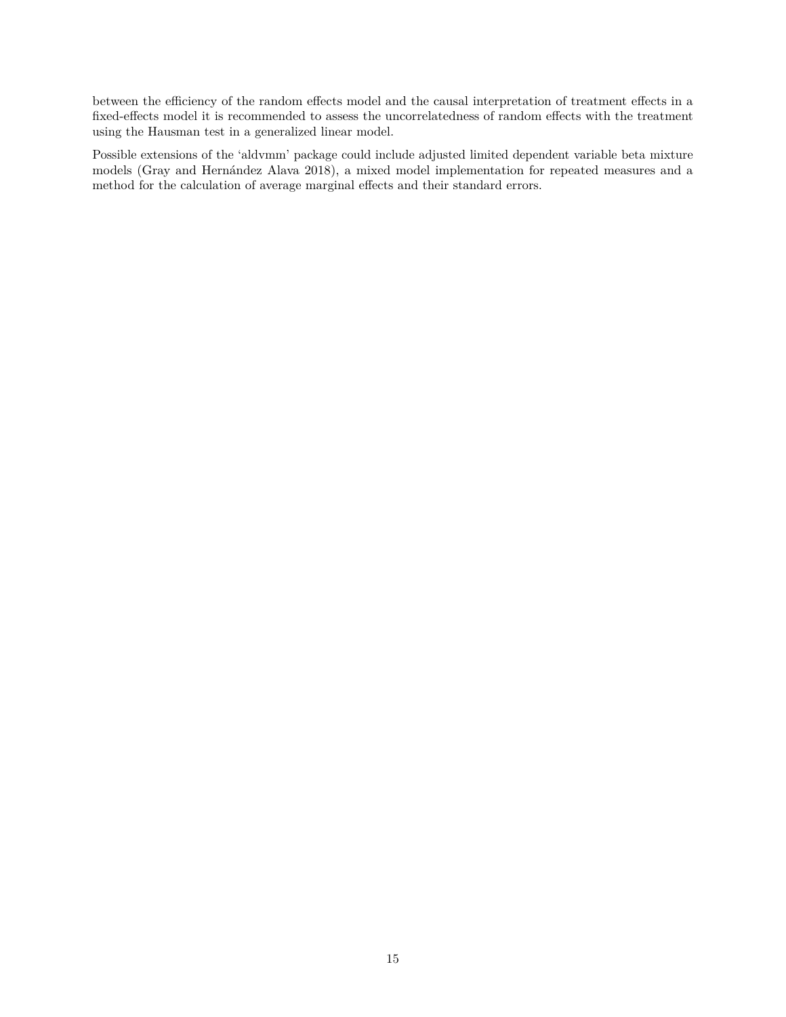between the efficiency of the random effects model and the causal interpretation of treatment effects in a fixed-effects model it is recommended to assess the uncorrelatedness of random effects with the treatment using the Hausman test in a generalized linear model.

Possible extensions of the 'aldvmm' package could include adjusted limited dependent variable beta mixture models (Gray and Hernández Alava 2018), a mixed model implementation for repeated measures and a method for the calculation of average marginal effects and their standard errors.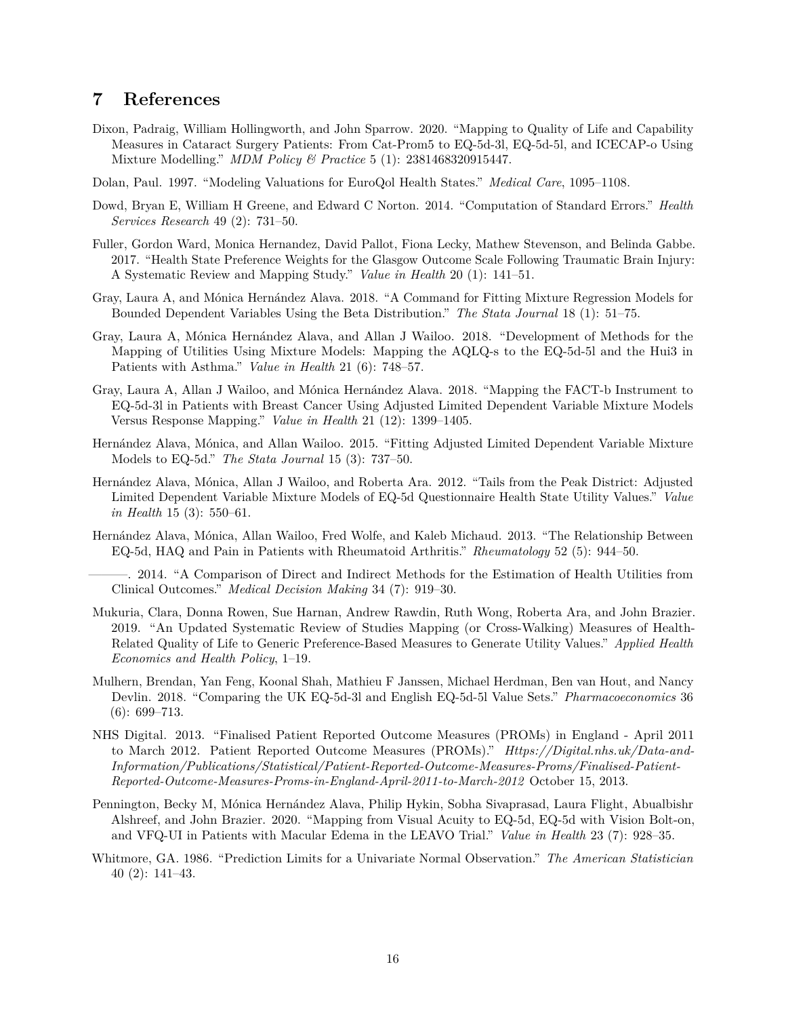### **7 References**

- Dixon, Padraig, William Hollingworth, and John Sparrow. 2020. "Mapping to Quality of Life and Capability Measures in Cataract Surgery Patients: From Cat-Prom5 to EQ-5d-3l, EQ-5d-5l, and ICECAP-o Using Mixture Modelling." *MDM Policy & Practice* 5 (1): 2381468320915447.
- Dolan, Paul. 1997. "Modeling Valuations for EuroQol Health States." *Medical Care*, 1095–1108.
- Dowd, Bryan E, William H Greene, and Edward C Norton. 2014. "Computation of Standard Errors." *Health Services Research* 49 (2): 731–50.
- Fuller, Gordon Ward, Monica Hernandez, David Pallot, Fiona Lecky, Mathew Stevenson, and Belinda Gabbe. 2017. "Health State Preference Weights for the Glasgow Outcome Scale Following Traumatic Brain Injury: A Systematic Review and Mapping Study." *Value in Health* 20 (1): 141–51.
- Gray, Laura A, and Mónica Hernández Alava. 2018. "A Command for Fitting Mixture Regression Models for Bounded Dependent Variables Using the Beta Distribution." *The Stata Journal* 18 (1): 51–75.
- Gray, Laura A, Mónica Hernández Alava, and Allan J Wailoo. 2018. "Development of Methods for the Mapping of Utilities Using Mixture Models: Mapping the AQLQ-s to the EQ-5d-5l and the Hui3 in Patients with Asthma." *Value in Health* 21 (6): 748–57.
- Gray, Laura A, Allan J Wailoo, and Mónica Hernández Alava. 2018. "Mapping the FACT-b Instrument to EQ-5d-3l in Patients with Breast Cancer Using Adjusted Limited Dependent Variable Mixture Models Versus Response Mapping." *Value in Health* 21 (12): 1399–1405.
- Hernández Alava, Mónica, and Allan Wailoo. 2015. "Fitting Adjusted Limited Dependent Variable Mixture Models to EQ-5d." *The Stata Journal* 15 (3): 737–50.
- Hernández Alava, Mónica, Allan J Wailoo, and Roberta Ara. 2012. "Tails from the Peak District: Adjusted Limited Dependent Variable Mixture Models of EQ-5d Questionnaire Health State Utility Values." *Value in Health* 15 (3): 550–61.
- Hernández Alava, Mónica, Allan Wailoo, Fred Wolfe, and Kaleb Michaud. 2013. "The Relationship Between EQ-5d, HAQ and Pain in Patients with Rheumatoid Arthritis." *Rheumatology* 52 (5): 944–50.
- ———. 2014. "A Comparison of Direct and Indirect Methods for the Estimation of Health Utilities from Clinical Outcomes." *Medical Decision Making* 34 (7): 919–30.
- Mukuria, Clara, Donna Rowen, Sue Harnan, Andrew Rawdin, Ruth Wong, Roberta Ara, and John Brazier. 2019. "An Updated Systematic Review of Studies Mapping (or Cross-Walking) Measures of Health-Related Quality of Life to Generic Preference-Based Measures to Generate Utility Values." *Applied Health Economics and Health Policy*, 1–19.
- Mulhern, Brendan, Yan Feng, Koonal Shah, Mathieu F Janssen, Michael Herdman, Ben van Hout, and Nancy Devlin. 2018. "Comparing the UK EQ-5d-3l and English EQ-5d-5l Value Sets." *Pharmacoeconomics* 36 (6): 699–713.
- NHS Digital. 2013. "Finalised Patient Reported Outcome Measures (PROMs) in England April 2011 to March 2012. Patient Reported Outcome Measures (PROMs)." *Https://Digital.nhs.uk/Data-and-Information/Publications/Statistical/Patient-Reported-Outcome-Measures-Proms/Finalised-Patient-Reported-Outcome-Measures-Proms-in-England-April-2011-to-March-2012* October 15, 2013.
- Pennington, Becky M, Mónica Hernández Alava, Philip Hykin, Sobha Sivaprasad, Laura Flight, Abualbishr Alshreef, and John Brazier. 2020. "Mapping from Visual Acuity to EQ-5d, EQ-5d with Vision Bolt-on, and VFQ-UI in Patients with Macular Edema in the LEAVO Trial." *Value in Health* 23 (7): 928–35.
- Whitmore, GA. 1986. "Prediction Limits for a Univariate Normal Observation." *The American Statistician* 40 (2): 141–43.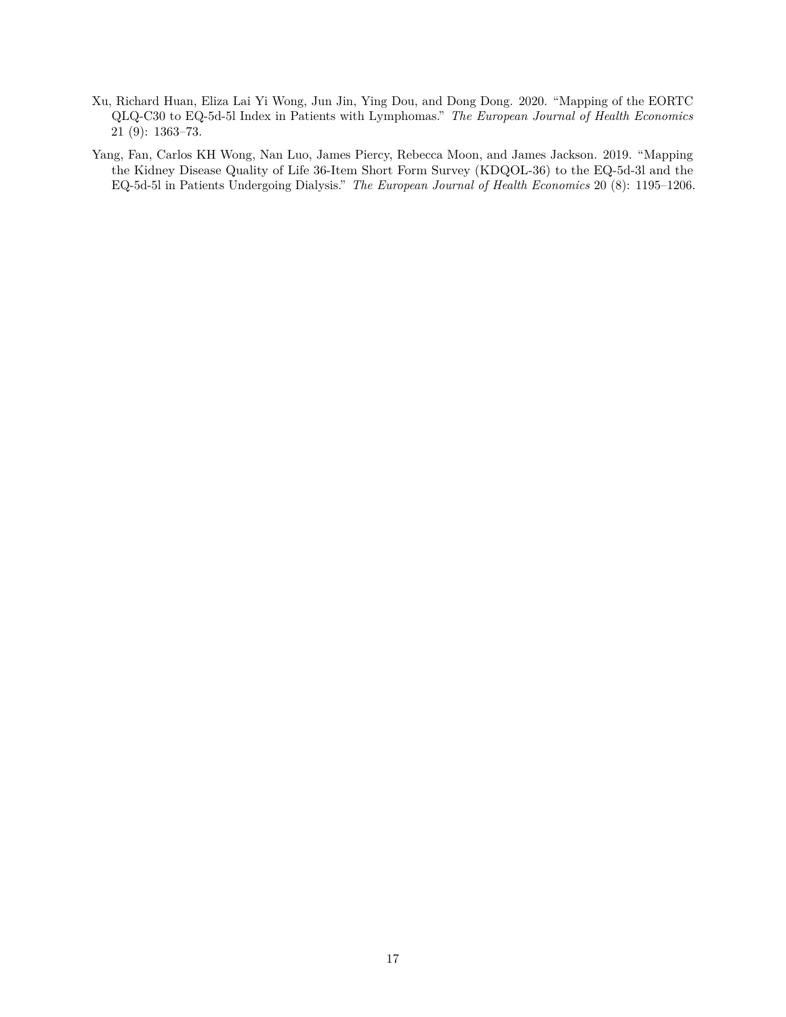- Xu, Richard Huan, Eliza Lai Yi Wong, Jun Jin, Ying Dou, and Dong Dong. 2020. "Mapping of the EORTC QLQ-C30 to EQ-5d-5l Index in Patients with Lymphomas." *The European Journal of Health Economics* 21 (9): 1363–73.
- Yang, Fan, Carlos KH Wong, Nan Luo, James Piercy, Rebecca Moon, and James Jackson. 2019. "Mapping the Kidney Disease Quality of Life 36-Item Short Form Survey (KDQOL-36) to the EQ-5d-3l and the EQ-5d-5l in Patients Undergoing Dialysis." *The European Journal of Health Economics* 20 (8): 1195–1206.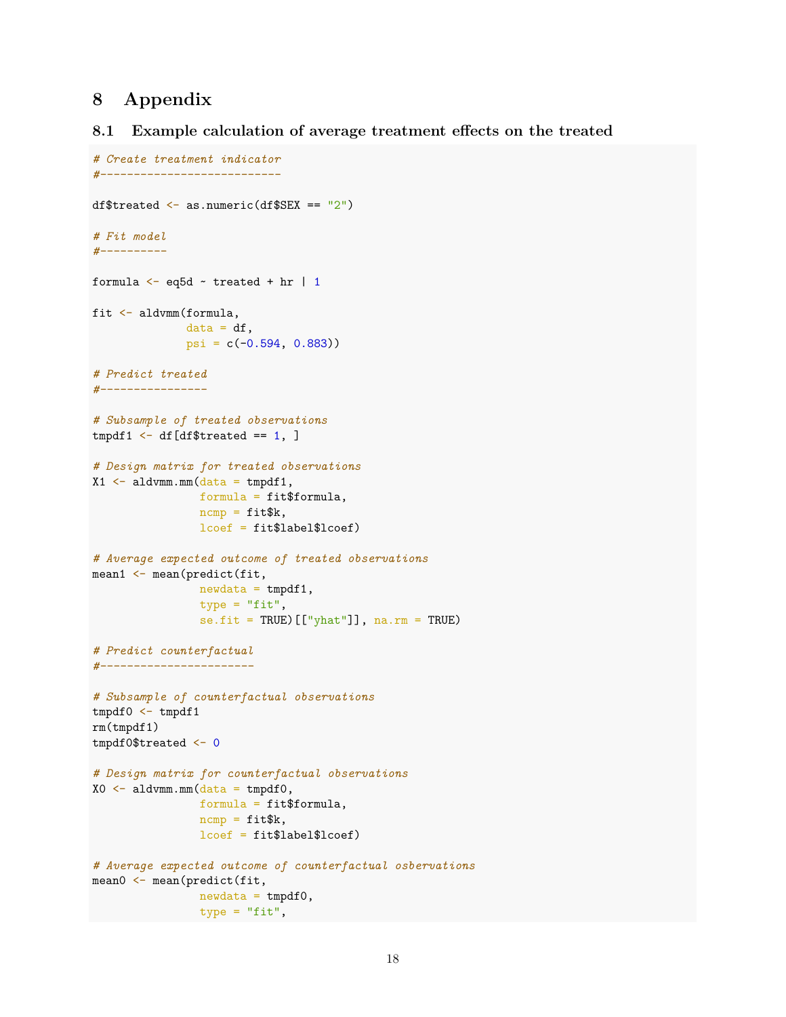## **8 Appendix**

### **8.1 Example calculation of average treatment effects on the treated**

```
# Create treatment indicator
#---------------------------
df$treated \leq as.numeric(df$SEX == "2")
# Fit model
#----------
formula \leftarrow eq5d \sim treated + hr | 1
fit <- aldvmm(formula,
              data = df,
              psi = c(-0.594, 0.883))
# Predict treated
#----------------
# Subsample of treated observations
tmpdf1 \leftarrow df[df$treated == 1, ]# Design matrix for treated observations
X1 \leftarrow \text{aldvmm.mm}(\text{data = tmpdf1},formula = fit$formula,
                ncmp = \text{fit}_{k},
                 lcoef = fit$label$lcoef)
# Average expected outcome of treated observations
mean1 <- mean(predict(fit,
                 newdata = tmpdf1,type = "fit",se.fit = TRUE)[["yhat"]], na.rm = TRUE)
# Predict counterfactual
#-----------------------
# Subsample of counterfactual observations
tmpdf0 \leq -tmpdf1rm(tmpdf1)
tmpdf0$treated <- 0
# Design matrix for counterfactual observations
X0 <- aldvmm.mm(data = tmpdf0,formula = fit$formula,
                ncmp = \text{fit$k},lcoef = fit$label$lcoef)
# Average expected outcome of counterfactual osbervations
mean0 <- mean(predict(fit,
                newdata = tmpdf0,type = "fit",
```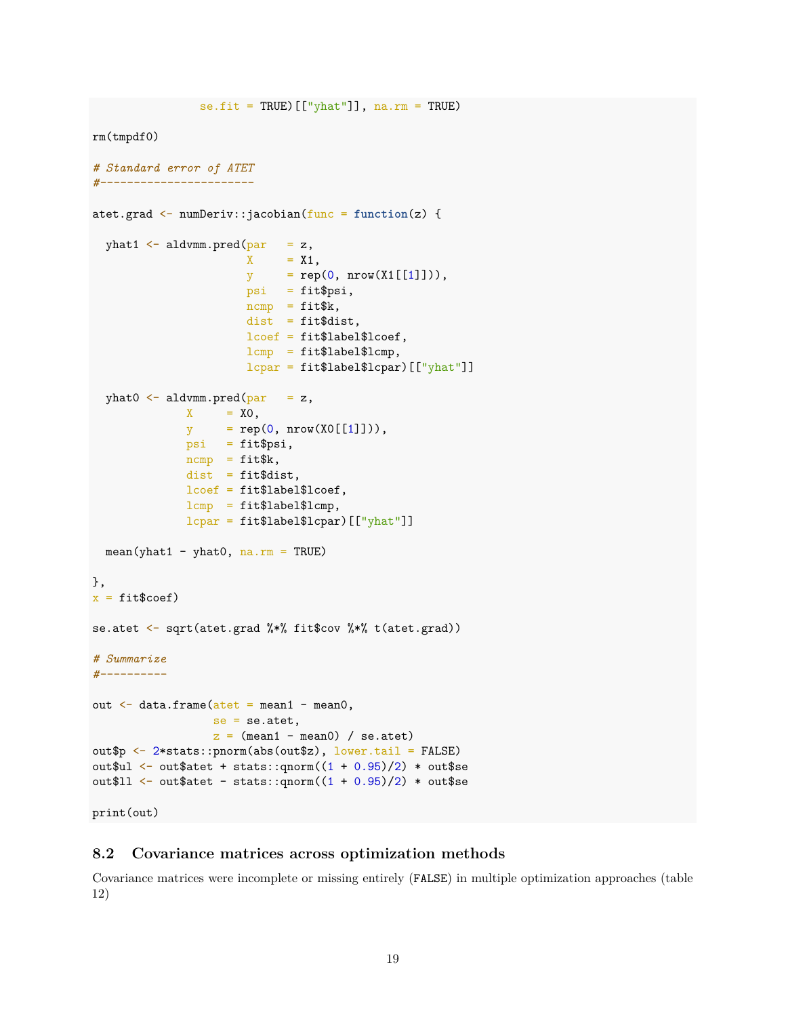```
se.fit = TRUE)[["yhat"]], na.rm = TRUE)
rm(tmpdf0)
# Standard error of ATET
#-----------------------
atet.grad <- numDeriv::jacobian(func = function(z) {
  yhat1 \leq aldvmm.pred(par = z,
                       X = X1,
                       y = rep(0, nrow(X1[[1]])),psi = fit$psi,
                       ncmp = \text{fit$k},
                       dist = fit$dist,
                       lcoef = fit$label$lcoef,
                       lcmp = fit$label$lcmp,
                       lcpar = fit$label$lcpar)[["yhat"]]
  yhat0 \leq aldvmm.pred(par = z,
              X = X0,
              y = rep(0, nrow(X0[[1]])),psi = fit$psi,
              ncmp = fit$k,
              dist = fit$dist,
              lcoef = fit$label$lcoef,
              lcmp = fit$label$lcmp,
              lcpar = fit$label$lcpar)[["yhat"]]
  mean(yhat1 - yhat0, na.rm = TRUE)},
x = \text{fit}\coef)
se.atet <- sqrt(atet.grad %*% fit$cov %*% t(atet.grad))
# Summarize
#----------
out \leq data.frame(atet = mean1 - mean0,
                 se = se.atet,
                  z = (mean1 - mean0) / sec.atet)
out$p <- 2*stats::pnorm(abs(out$z), lower.tail = FALSE)
out$ul <- out$atet + stats::qnorm((1 + 0.95)/2) * out$se
out$11 <- out$atet - stats::qnorm((1 + 0.95)/2) * out$se
```
#### print(out)

### **8.2 Covariance matrices across optimization methods**

Covariance matrices were incomplete or missing entirely (FALSE) in multiple optimization approaches (table [12\)](#page-19-0)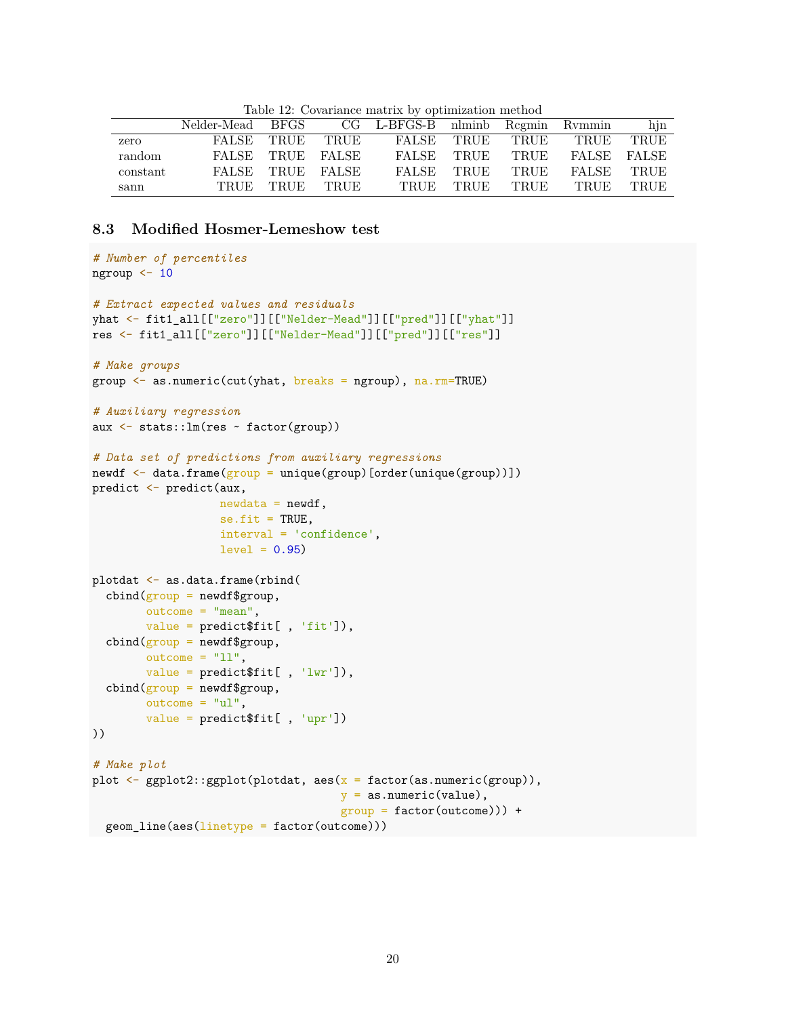|          | Nelder-Mead BFGS CG L-BFGS-B nlminb Regmin Rymmin |                |                  |  |                 |                           | hjn       |
|----------|---------------------------------------------------|----------------|------------------|--|-----------------|---------------------------|-----------|
| zero     |                                                   |                | FALSE TRUE TRUE  |  |                 | FALSE TRUE TRUE TRUE TRUE |           |
| random   |                                                   |                | FALSE TRUE FALSE |  | FALSE TRUE TRUE | FALSE FALSE               |           |
| constant |                                                   |                | FALSE TRUE FALSE |  | FALSE TRUE TRUE | FALSE TRUE                |           |
| sann     |                                                   | TRUE TRUE TRUE |                  |  | TRUE TRUE TRUE  |                           | TRUE TRUE |

<span id="page-19-0"></span>Table 12: Covariance matrix by optimization method

### **8.3 Modified Hosmer-Lemeshow test**

```
# Number of percentiles
ngroup <- 10
# Extract expected values and residuals
yhat <- fit1_all[["zero"]][["Nelder-Mead"]][["pred"]][["yhat"]]
res <- fit1_all[["zero"]][["Nelder-Mead"]][["pred"]][["res"]]
# Make groups
group <- as.numeric(cut(yhat, breaks = ngroup), na.rm=TRUE)
# Auxiliary regression
aux <- stats::lm(res ~ factor(group))
# Data set of predictions from auxiliary regressions
newdf \leftarrow data.frame(\frac{group}{group} = unique(group)[order(unique(group)])
predict <- predict(aux,
                   newdata = newdf,se.fit = TRUE.interval = 'confidence',
                   level = 0.95plotdat <- as.data.frame(rbind(
  cbind(group = newdf\group,
        outcome = "mean",value = predict$fit[ , 'fit']),
  cbind(group = newdf\group,
        outcome = "11",value = predict$fit[ , 'lwr']),
  cbind(group = newdf\group,
        outcome = "ul",value = predict$fit[ , 'upr'])
))
# Make plot
plot \leq ggplot2::ggplot(plotdat, aes(x = factor(as.numeric(group)),
                                      y = as .numeric(value),
                                      group = factor(outcome))) +
  geom_line(aes(linetype = factor(outcome)))
```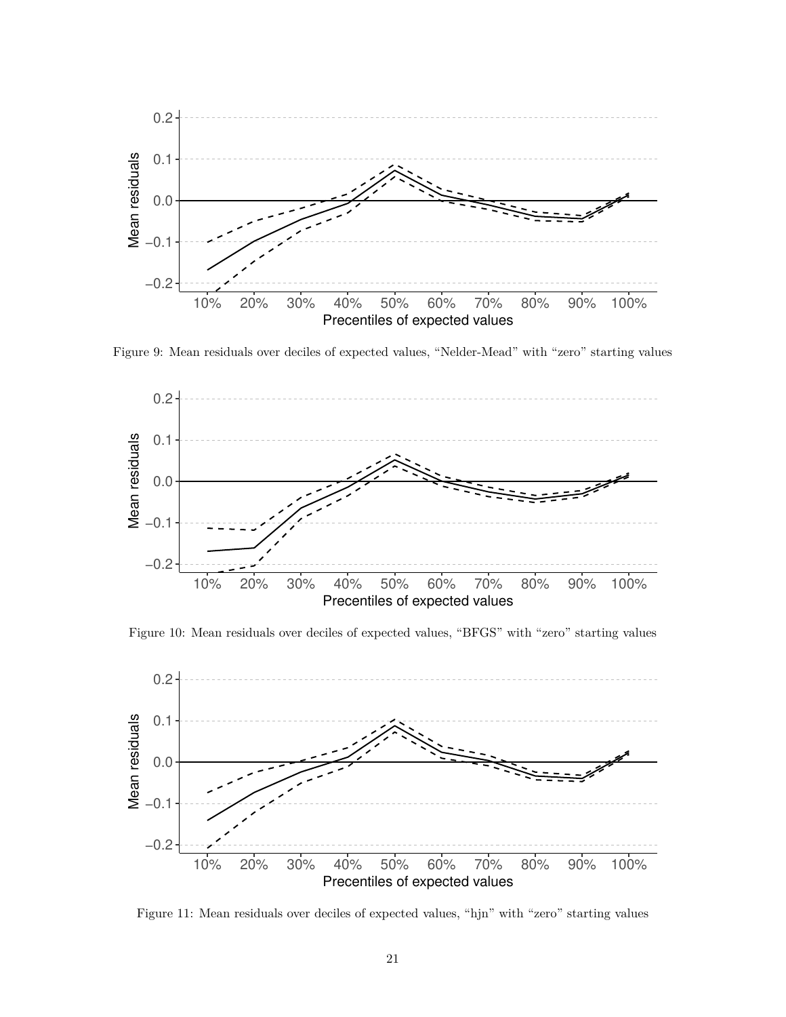

<span id="page-20-0"></span>Figure 9: Mean residuals over deciles of expected values, "Nelder-Mead" with "zero" starting values



<span id="page-20-1"></span>Figure 10: Mean residuals over deciles of expected values, "BFGS" with "zero" starting values



<span id="page-20-2"></span>Figure 11: Mean residuals over deciles of expected values, "hjn" with "zero" starting values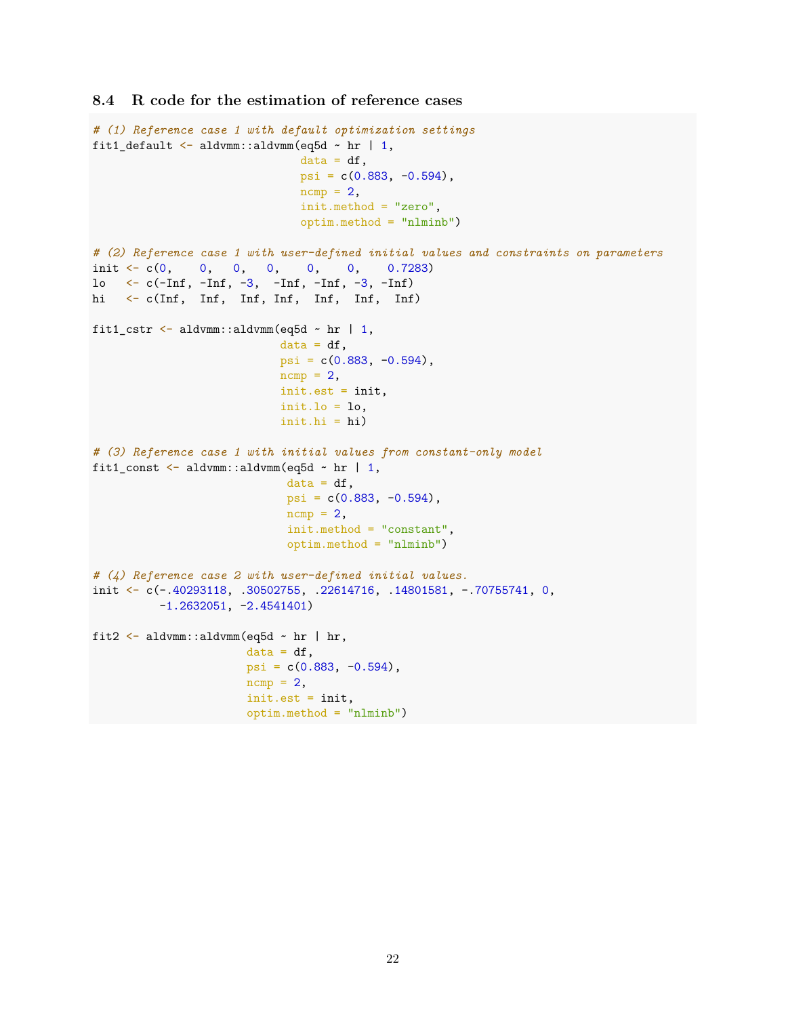### **8.4 R code for the estimation of reference cases**

```
# (1) Reference case 1 with default optimization settings
fit1_default \leq aldvmm::aldvmm(eq5d \sim hr | 1,
                                data = df,psi = c(0.883, -0.594),
                                ncmp = 2,
                                init.method = "zero",
                                optim.method = "nlminb")
# (2) Reference case 1 with user-defined initial values and constraints on parameters
init \langle -c(0, 0, 0, 0, 0, 0, 0, 0.7283)lo \leftarrow c(-\text{Inf}, -\text{Inf}, -3, -\text{Inf}, -\text{Inf}, -3, -\text{Inf})hi <- c(Inf, Inf, Inf, Inf, Inf, Inf, Inf)
fit1_cstr \leq aldvmm::aldvmm(eq5d \sim hr | 1,
                             data = df,psi = c(0.883, -0.594),
                             ncmp = 2,
                             init.est = init,
                             init.1o = 1o,init.hi = hi)
# (3) Reference case 1 with initial values from constant-only model
fit1_const <- aldvmm::aldvmm(eq5d \sim hr | 1,
                              data = df,psi = c(0.883, -0.594),
                              ncmp = 2,
                              init.method = "constant",
                              optim.method = "nlminb")
# (4) Reference case 2 with user-defined initial values.
init <- c(-.40293118, .30502755, .22614716, .14801581, -.70755741, 0,
          -1.2632051, -2.4541401)
fit2 <- aldvmm::aldvmm(eq5d ~ hr | hr,
                        data = df,psi = c(0.883, -0.594),
                        ncmp = 2,
                        init.est = init,
                        optim.method = "nlminb")
```